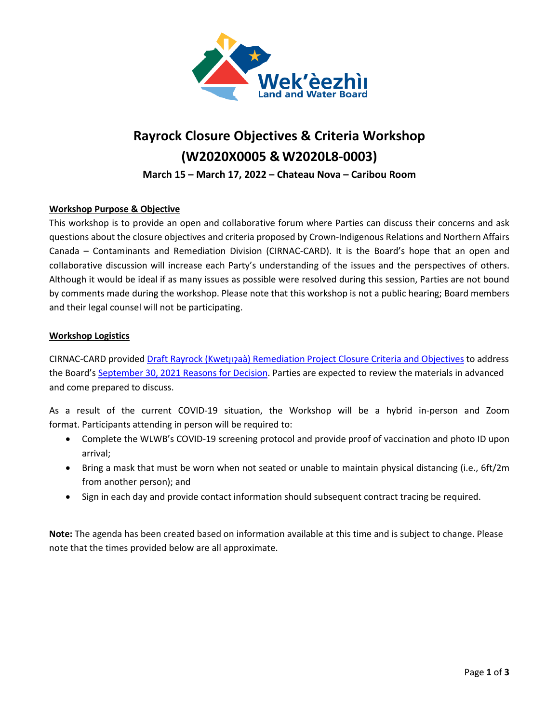

# **Rayrock Closure Objectives & Criteria Workshop (W2020X0005 & W2020L8-0003)**

**March 15 – March 17, 2022 – Chateau Nova – Caribou Room**

### **Workshop Purpose & Objective**

This workshop is to provide an open and collaborative forum where Parties can discuss their concerns and ask questions about the closure objectives and criteria proposed by Crown-Indigenous Relations and Northern Affairs Canada – Contaminants and Remediation Division (CIRNAC-CARD). It is the Board's hope that an open and collaborative discussion will increase each Party's understanding of the issues and the perspectives of others. Although it would be ideal if as many issues as possible were resolved during this session, Parties are not bound by comments made during the workshop. Please note that this workshop is not a public hearing; Board members and their legal counsel will not be participating.

#### **Workshop Logistics**

CIRNAC-CARD provided Draft Rayrock (KwetJI?[aà\) Remediation Project Closure Criteria and Objectives](http://registry.mvlwb.ca/Documents/W2020X0005/Rayrock%20-%20Draft%20Closure%20Objectives%20and%20Criteria%20-%20Mar%201_22.pdf) to address the Board'[s September 30, 2021 Reasons for Decision.](https://registry.mvlwb.ca/Documents/W2020L8-0003/Rayrock%20-%20Licence%20and%20Permit%20-%20Reasons%20for%20Decision%20-%20Sep%2030_21.pdf) Parties are expected to review the materials in advanced and come prepared to discuss.

As a result of the current COVID-19 situation, the Workshop will be a hybrid in-person and Zoom format. Participants attending in person will be required to:

- Complete the WLWB's COVID-19 screening protocol and provide proof of vaccination and photo ID upon arrival;
- Bring a mask that must be worn when not seated or unable to maintain physical distancing (i.e., 6ft/2m from another person); and
- Sign in each day and provide contact information should subsequent contract tracing be required.

**Note:** The agenda has been created based on information available at this time and is subject to change. Please note that the times provided below are all approximate.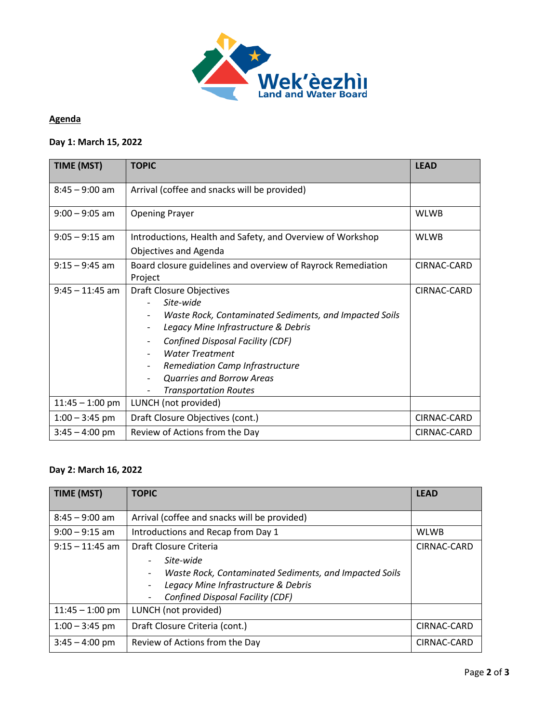

## **Agenda**

# **Day 1: March 15, 2022**

| <b>TIME (MST)</b> | <b>TOPIC</b>                                                                                                                                                                                                                                                                                                                                                 | <b>LEAD</b> |
|-------------------|--------------------------------------------------------------------------------------------------------------------------------------------------------------------------------------------------------------------------------------------------------------------------------------------------------------------------------------------------------------|-------------|
| $8:45 - 9:00$ am  | Arrival (coffee and snacks will be provided)                                                                                                                                                                                                                                                                                                                 |             |
| $9:00 - 9:05$ am  | <b>Opening Prayer</b>                                                                                                                                                                                                                                                                                                                                        | <b>WLWB</b> |
| $9:05 - 9:15$ am  | Introductions, Health and Safety, and Overview of Workshop<br><b>Objectives and Agenda</b>                                                                                                                                                                                                                                                                   | <b>WLWB</b> |
| $9:15 - 9:45$ am  | Board closure guidelines and overview of Rayrock Remediation<br>Project                                                                                                                                                                                                                                                                                      | CIRNAC-CARD |
| $9:45 - 11:45$ am | <b>Draft Closure Objectives</b><br>Site-wide<br>Waste Rock, Contaminated Sediments, and Impacted Soils<br>Legacy Mine Infrastructure & Debris<br><b>Confined Disposal Facility (CDF)</b><br>$\overline{\phantom{a}}$<br><b>Water Treatment</b><br><b>Remediation Camp Infrastructure</b><br><b>Quarries and Borrow Areas</b><br><b>Transportation Routes</b> | CIRNAC-CARD |
| $11:45 - 1:00$ pm | LUNCH (not provided)                                                                                                                                                                                                                                                                                                                                         |             |
| $1:00 - 3:45$ pm  | Draft Closure Objectives (cont.)                                                                                                                                                                                                                                                                                                                             | CIRNAC-CARD |
| $3:45 - 4:00$ pm  | Review of Actions from the Day                                                                                                                                                                                                                                                                                                                               | CIRNAC-CARD |

# **Day 2: March 16, 2022**

| TIME (MST)        | <b>TOPIC</b>                                                                                                                                                                                                                                                                                        | <b>LEAD</b> |
|-------------------|-----------------------------------------------------------------------------------------------------------------------------------------------------------------------------------------------------------------------------------------------------------------------------------------------------|-------------|
| $8:45 - 9:00$ am  | Arrival (coffee and snacks will be provided)                                                                                                                                                                                                                                                        |             |
| $9:00 - 9:15$ am  | Introductions and Recap from Day 1                                                                                                                                                                                                                                                                  | <b>WLWB</b> |
| $9:15 - 11:45$ am | Draft Closure Criteria<br>Site-wide<br>$\qquad \qquad \blacksquare$<br>Waste Rock, Contaminated Sediments, and Impacted Soils<br>$\overline{\phantom{a}}$<br>Legacy Mine Infrastructure & Debris<br>$\overline{\phantom{a}}$<br><b>Confined Disposal Facility (CDF)</b><br>$\overline{\phantom{a}}$ | CIRNAC-CARD |
| $11:45 - 1:00$ pm | LUNCH (not provided)                                                                                                                                                                                                                                                                                |             |
| $1:00 - 3:45$ pm  | Draft Closure Criteria (cont.)                                                                                                                                                                                                                                                                      | CIRNAC-CARD |
| $3:45 - 4:00$ pm  | Review of Actions from the Day                                                                                                                                                                                                                                                                      | CIRNAC-CARD |